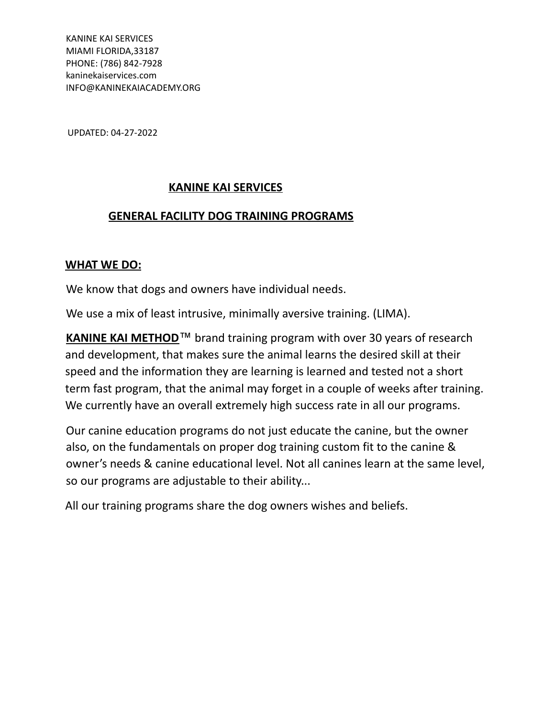KANINE KAI SERVICES MIAMI FLORIDA,33187 PHONE: (786) 842-7928 kaninekaiservices.com INFO@KANINEKAIACADEMY.ORG

UPDATED: 04-27-2022

### **KANINE KAI SERVICES**

### **GENERAL FACILITY DOG TRAINING PROGRAMS**

### **WHAT WE DO:**

We know that dogs and owners have individual needs.

We use a mix of least intrusive, minimally aversive training. (LIMA).

**KANINE KAI METHOD**™ brand training program with over 30 years of research and development, that makes sure the animal learns the desired skill at their speed and the information they are learning is learned and tested not a short term fast program, that the animal may forget in a couple of weeks after training. We currently have an overall extremely high success rate in all our programs.

Our canine education programs do not just educate the canine, but the owner also, on the fundamentals on proper dog training custom fit to the canine & owner's needs & canine educational level. Not all canines learn at the same level, so our programs are adjustable to their ability...

All our training programs share the dog owners wishes and beliefs.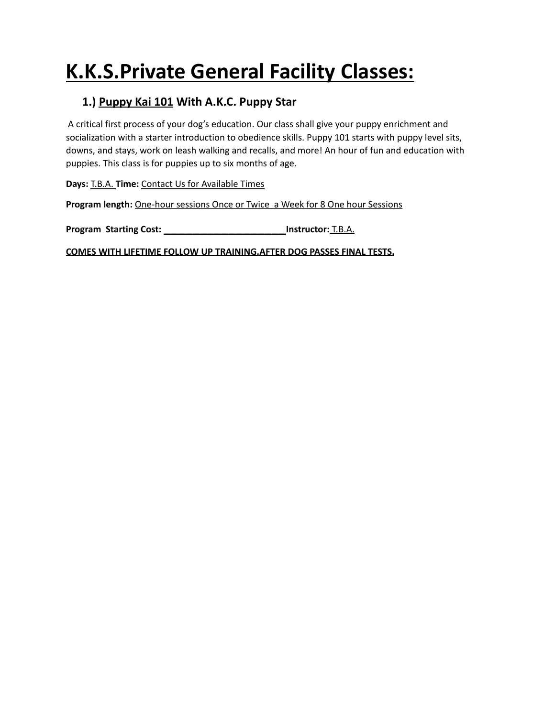# **K.K.S.Private General Facility Classes:**

## **1.) Puppy Kai 101 With A.K.C. Puppy Star**

A critical first process of your dog's education. Our class shall give your puppy enrichment and socialization with a starter introduction to obedience skills. Puppy 101 starts with puppy level sits, downs, and stays, work on leash walking and recalls, and more! An hour of fun and education with puppies. This class is for puppies up to six months of age.

**Days:** T.B.A. **Time:** Contact Us for Available Times

**Program length:** One-hour sessions Once or Twice a Week for 8 One hour Sessions

**Program Starting Cost: \_\_\_\_\_\_\_\_\_\_\_\_\_\_\_\_\_Instructor:** T.B.A.

**COMES WITH LIFETIME FOLLOW UP TRAINING.AFTER DOG PASSES FINAL TESTS.**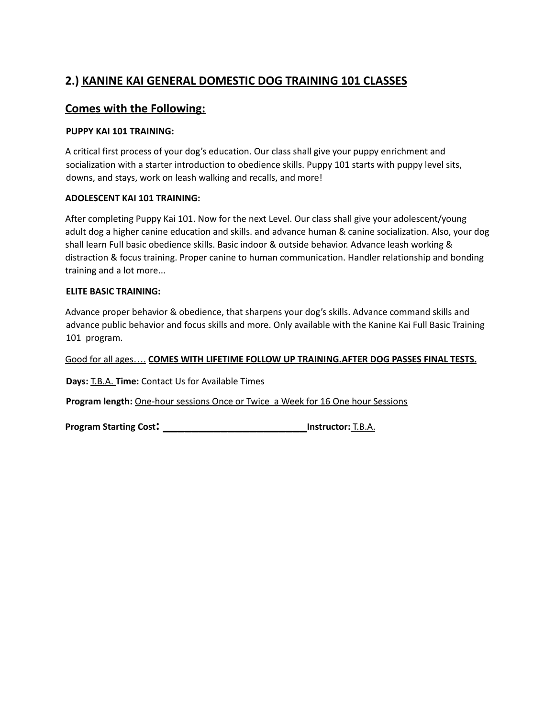## **2.) KANINE KAI GENERAL DOMESTIC DOG TRAINING 101 CLASSES**

### **Comes with the Following:**

#### **PUPPY KAI 101 TRAINING:**

A critical first process of your dog's education. Our class shall give your puppy enrichment and socialization with a starter introduction to obedience skills. Puppy 101 starts with puppy level sits, downs, and stays, work on leash walking and recalls, and more!

### **ADOLESCENT KAI 101 TRAINING:**

After completing Puppy Kai 101. Now for the next Level. Our class shall give your adolescent/young adult dog a higher canine education and skills. and advance human & canine socialization. Also, your dog shall learn Full basic obedience skills. Basic indoor & outside behavior. Advance leash working & distraction & focus training. Proper canine to human communication. Handler relationship and bonding training and a lot more...

### **ELITE BASIC TRAINING:**

Advance proper behavior & obedience, that sharpens your dog's skills. Advance command skills and advance public behavior and focus skills and more. Only available with the Kanine Kai Full Basic Training 101 program.

Good for all ages…. **COMES WITH LIFETIME FOLLOW UP TRAINING.AFTER DOG PASSES FINAL TESTS.**

**Days:** T.B.A. **Time:** Contact Us for Available Times

**Program length:** One-hour sessions Once or Twice a Week for 16 One hour Sessions

**Program Starting Cost: \_\_\_\_\_\_\_\_\_\_\_\_\_\_\_\_\_\_\_\_Instructor:** T.B.A.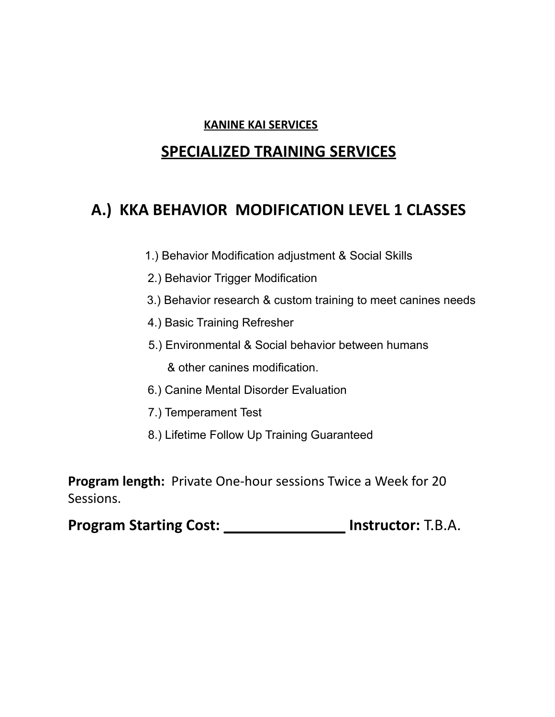### **KANINE KAI SERVICES**

## **SPECIALIZED TRAINING SERVICES**

## **A.) KKA BEHAVIOR MODIFICATION LEVEL 1 CLASSES**

- 1.) Behavior Modification adjustment & Social Skills
- 2.) Behavior Trigger Modification
- 3.) Behavior research & custom training to meet canines needs
- 4.) Basic Training Refresher
- 5.) Environmental & Social behavior between humans

& other canines modification.

- 6.) Canine Mental Disorder Evaluation
- 7.) Temperament Test
- 8.) Lifetime Follow Up Training Guaranteed

**Program length:** Private One-hour sessions Twice a Week for 20 Sessions.

**Program Starting Cost:** \_\_\_\_\_\_\_\_\_\_\_\_\_\_\_ **Instructor:** T.B.A.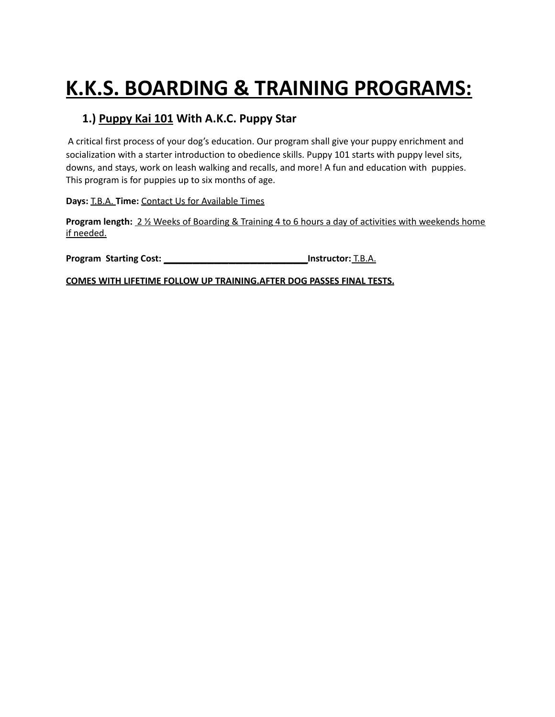# **K.K.S. BOARDING & TRAINING PROGRAMS:**

## **1.) Puppy Kai 101 With A.K.C. Puppy Star**

A critical first process of your dog's education. Our program shall give your puppy enrichment and socialization with a starter introduction to obedience skills. Puppy 101 starts with puppy level sits, downs, and stays, work on leash walking and recalls, and more! A fun and education with puppies. This program is for puppies up to six months of age.

**Days:** T.B.A. **Time:** Contact Us for Available Times

**Program length:** 2 ½ Weeks of Boarding & Training 4 to 6 hours a day of activities with weekends home if needed.

**Program Starting Cost: \_\_\_\_\_\_\_\_\_\_\_\_\_\_\_\_\_\_\_\_Instructor:** T.B.A.

**COMES WITH LIFETIME FOLLOW UP TRAINING.AFTER DOG PASSES FINAL TESTS.**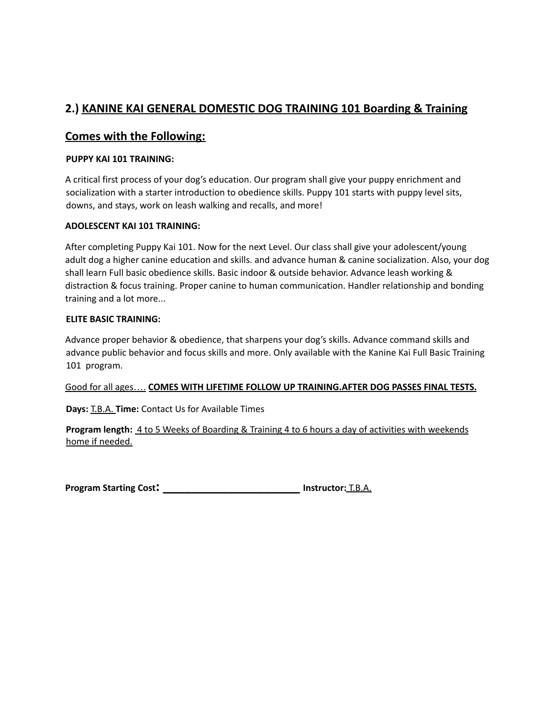## **2.) KANINE KAI GENERAL DOMESTIC DOG TRAINING 101 Boarding & Training**

### **Comes with the Following:**

### **PUPPY KAI 101 TRAINING:**

A critical first process of your dog's education. Our program shall give your puppy enrichment and socialization with a starter introduction to obedience skills. Puppy 101 starts with puppy level sits, downs, and stays, work on leash walking and recalls, and more!

### **ADOLESCENT KAI 101 TRAINING:**

After completing Puppy Kai 101. Now for the next Level. Our class shall give your adolescent/young adult dog a higher canine education and skills. and advance human & canine socialization. Also, your dog shall learn Full basic obedience skills. Basic indoor & outside behavior. Advance leash working & distraction & focus training. Proper canine to human communication. Handler relationship and bonding training and a lot more...

### **ELITE BASIC TRAINING:**

Advance proper behavior & obedience, that sharpens your dog's skills. Advance command skills and advance public behavior and focus skills and more. Only available with the Kanine Kai Full Basic Training 101 program.

#### Good for all ages…. **COMES WITH LIFETIME FOLLOW UP TRAINING.AFTER DOG PASSES FINAL TESTS.**

**Days:** T.B.A. **Time:** Contact Us for Available Times

**Program length:** 4 to 5 Weeks of Boarding & Training 4 to 6 hours a day of activities with weekends home if needed.

**Program Starting Cost: \_\_\_\_\_\_\_\_\_\_\_\_\_\_\_\_\_\_\_ Instructor:** T.B.A.